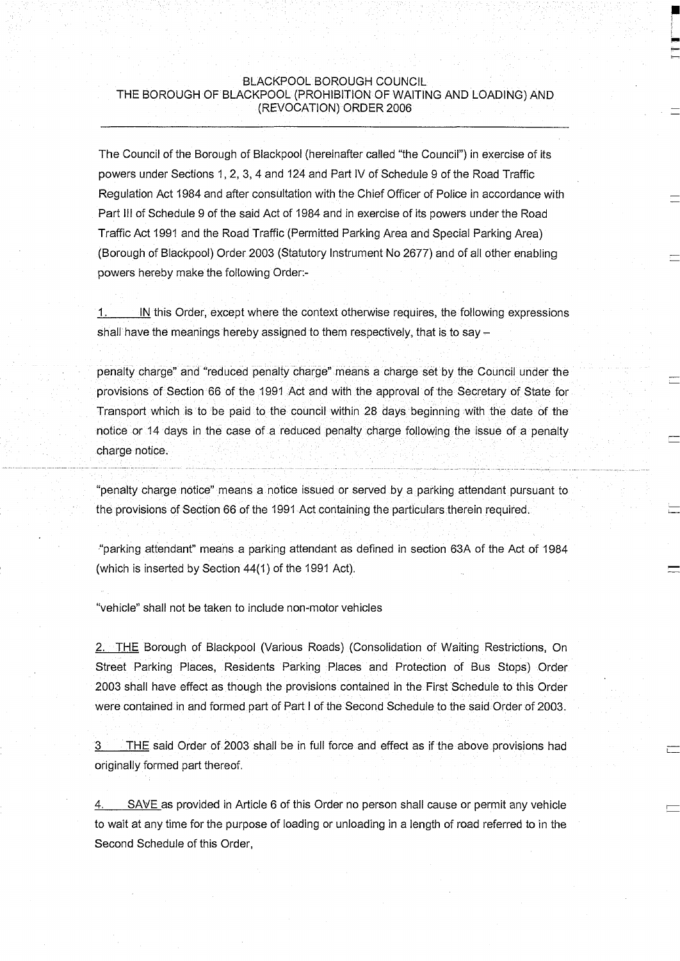# BLACKPOOL BOROUGH COUNCIL THE BOROUGH OF BLACKPOOL (PROHIBITION OF WAITING AND LOADING) AND (REVOCATION) ORDER 2006

The Council of the Borough of Blackpool (hereinafter called "the Council") in exercise of its powers under Sections 1, 2, 3, 4 and 124 and Part IV of Schedule 9 of the Road Traffic Regulation Act 1984 and after consultation with the Chief Officer of Police in accordance with Part III of Schedule 9 of the said Act of 1984 and in exercise of its powers under the Road Traffic Act 1991 and the Road Traffic (Permitted Parking Area and Special Parking Area) (Borough of Blackpool) Order 2003 (Statutory Instrument No 2677) and of all other enabling powers hereby make the following Order:-

'1.\_\_\_\_\_[N this Order, except where the context otherwise requires, the following expressions shall have the meanings hereby assigned to them respectively, that is to say  $-$ 

penalty charge" and "reduced penalty charge" means a charge set by the Council under the provisions of Section 66 of the 1991 Act and with the approval of the Secretary of State for Transport which is to be paid to the council within 28 days beginning with the date of the notice or 14 days in the case of a reduced penalty charge following the issue of a penalty charge notice.

"penalty charge notice" means a notice issued or served by a parking attendant pursuant to the provisions of Section 66 of the 1991 Act containing the particulars therein required.

"parking attendant" means a parking attendant as defined in section 63A of the Act of 1984 (which is inserted by Section 44(1) of the 1991 Act).

"vehicle" shall not be taken to include non-motor vehicles

2. THE Borough of Blackpool (Various Roads) (Consolidation of Waiting Restrictions, On Street Parking Places, Residents Parking Places and Protection of Bus Stops) Order 2003 shall have effect as though the provisions contained in the First Schedule to this Order were contained in and formed part of Part I of the Second Schedule to the said Order of 2003.

3 THE said Order of 2003 shall be in full force and effect as if the above provisions had originally formed part thereof.

SAVE as provided in Article 6 of this Order no person shall cause or permit any vehicle to wait at any time for the purpose of loading or unloading in a length of road referred to in the Second Schedule of this Order,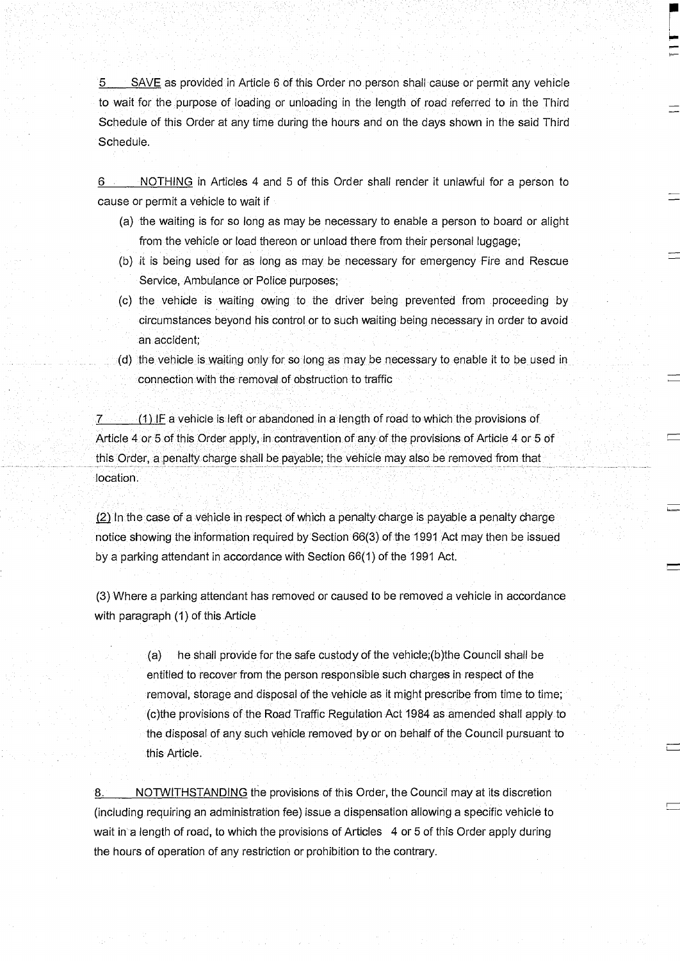SAVE as provided in Article 6 of this Order no person shall cause or permit any vehicle  $5$ to wait for the purpose of loading or unloading in the length of road referred to in the Third Schedule of this Order at any time during the hours and on the days shown in the said Third Schedule.

6 NOTHING in Articles 4 and 5 of this Order shall render it unlawful for a person to cause or permit a vehicle to wait if

- (a) the waiting is for so long as may be necessary to enable a person to board or alight from the vehicle or load thereon or unload there from their personal luggage;
- (b) it is being used for as long as may be necessary for emergency Fire and Rescue Service, Ambulance or Police purposes;
- (c) the vehicle is waiting owing to the driver being prevented from proceeding by circumstances beyond his control or to such waiting being necessary in order to avoid an accident;
- (d) the vehicle is waiting only for so long as may be necessary to enable it to be used in connection with the removal of obstruction to traffic

7 (1) IF a vehicle is left or abandoned in a length of road to which the provisions of Article 4 or 5 of this Order apply, in contravention of any of the provisions of Article 4 or 5 of this Order, a penalty charge shall be payable; the vehicle may also be removed from that location.

(2) In the case of a vehicle in respect of which a penalty charge is payable a penalty charge notice showing the information required by Section 66(3) of the 1991 Act may then be issued by a parking attendant in accordance with Section 66(1) of the 1991 Act.

(3) Where a parking attendant has removed or caused to be removed a vehicle in accordance with paragraph (1) of this Article

> (a) he shall provide for the safe custody of the vehicle;(b)the Council shall be entitled to recover from the person responsible such charges in respect of the removal, storage and disposal of the vehicle as it might prescribe from time to time; (c)the provisions of the Road Traffic Regulation Act 1984 as amended shall apply to the disposal of any such vehicle removed by or on behalf of the Council pursuant to this Article.

8. NOTWITHSTANDING the provisions of this Order, the Council may at its discretion (including requiring an administration fee) issue a dispensation allowing a specific vehicle to wait in a length of road, to which the provisions of Articles 4 or 5 of this Order apply during the hours of operation of any restriction or prohibition to the contrary.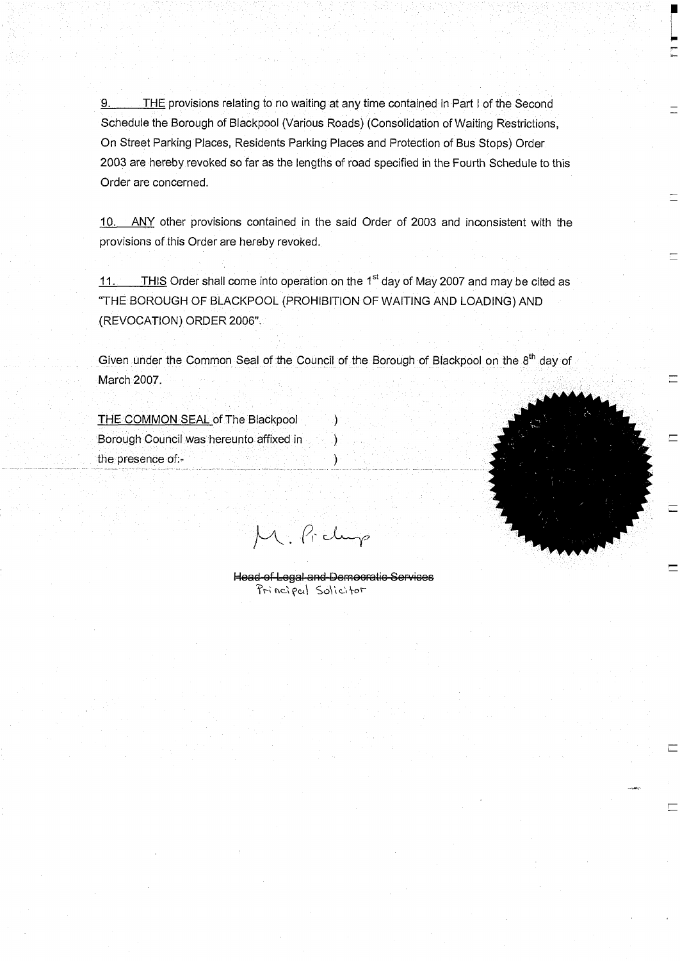9. THE provisions relating to no waiting at any time contained in Part I of the Second Schedule the Borough of Blackpool (Various Roads) (Consolidation of Waiting Restrictions, On Street Parking Places, Residents Parking Places and Protection of Bus Stops) Order 2003 are hereby revoked so far as the lengths of road specified in the Fourth Schedule to this Order are concerned.

10. ANY other provisions contained in the said Order of 2003 and inconsistent with the provisions of this Order are hereby revoked.

11. THIS Order shall come into operation on the 1<sup>st</sup> day of May 2007 and may be cited as "THE BOROUGH OF BLACKPOOL (PROHIBITION OF WAITING AND LOADING) AND (REVOCATION) ORDER 2006".

Given under the Common Seal of the Council of the Borough of Blackpool on the  $8<sup>th</sup>$  day of March 2007.

THE COMMON SEAL of The Blackpool Borough Council was hereunto affixed in (1) the presence of:- )

M. Pickup

Head-of-Legal and Democratic Services Principal Solicitor



 $\Box$